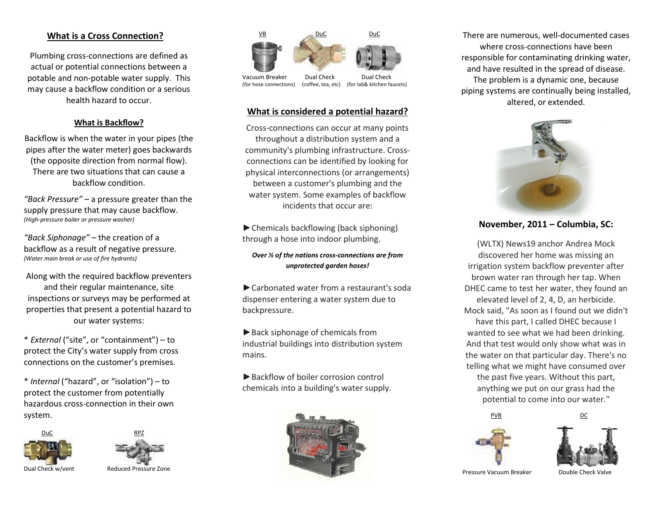## **What is a Cross Connection?**

Plumbing cross-connections are defined as actual or potential connections between a potable and non-potable water supply. This may cause a backflow condition or a serious health hazard to occur.

#### **What is Backflow?**

Backflow is when the water in your pipes (the pipes after the water meter) goes backwards (the opposite direction from normal flow). There are two situations that can cause a backflow condition.

*"Back Pressure"* – a pressure greater than the supply pressure that may cause backflow. *(High-pressure boiler or pressure washer)*

*"Back Siphonage"* – the creation of a backflow as a result of negative pressure. *(Water main break or use of fire hydrants)*

Along with the required backflow preventers and their regular maintenance, site inspections or surveys may be performed at properties that present a potential hazard to our water systems:

\* *External* ("site", or "containment") – to protect the City's water supply from cross connections on the customer's premises.

\* *Internal* ("hazard", or "isolation") – to protect the customer from potentially hazardous cross-connection in their own system.





Dual Check w/vent Reduced Pressure Zone



Vacuum Breaker Dual Check Dual Check<br>(for hose connections) (coffee, tea, etc) (for lab& kitchen fa

(coffee, tea, etc) (for lab& kitchen faucets)

### **What is considered a potential hazard?**

Cross-connections can occur at many points throughout a distribution system and a community's plumbing infrastructure. Crossconnections can be identified by looking for physical interconnections (or arrangements) between a customer's plumbing and the water system. Some examples of backflow incidents that occur are:

►Chemicals backflowing (back siphoning) through a hose into indoor plumbing.

*Over ½ of the nations cross-connections are from unprotected garden hoses!*

►Carbonated water from a restaurant's soda dispenser entering a water system due to backpressure.

►Back siphonage of chemicals from industrial buildings into distribution system mains.

►Backflow of boiler corrosion control chemicals into a building's water supply.



There are numerous, well-documented cases where cross-connections have been responsible for contaminating drinking water, and have resulted in the spread of disease. The problem is a dynamic one, because piping systems are continually being installed, altered, or extended.



**November, 2011 – Columbia, SC:**

(WLTX) News19 anchor Andrea Mock discovered her home was missing an irrigation system backflow preventer after brown water ran through her tap. When DHEC came to test her water, they found an elevated level of 2, 4, D, an herbicide. Mock said, "As soon as I found out we didn't have this part, I called DHEC because I wanted to see what we had been drinking. And that test would only show what was in the water on that particular day. There's no telling what we might have consumed over the past five years. Without this part, anything we put on our grass had the potential to come into our water."



PVB DC



Pressure Vacuum Breaker Double Check Valve